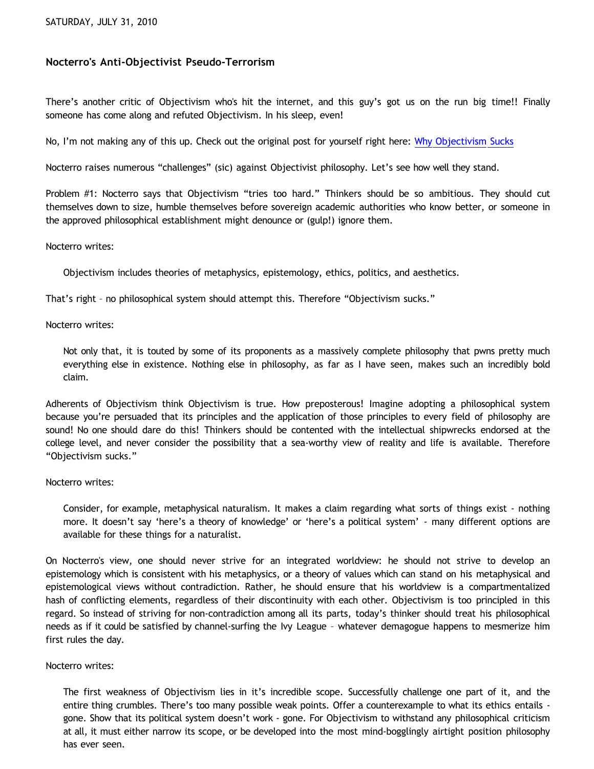# **Nocterro's Anti-Objectivist Pseudo-Terrorism**

There's another critic of Objectivism who's hit the internet, and this guy's got us on the run big time!! Finally someone has come along and refuted Objectivism. In his sleep, even!

No, I'm not making any of this up. Check out the original post for yourself right here: [Why Objectivism Sucks](http://community.philapologia.org/index.php?topic=47.0)

Nocterro raises numerous "challenges" (sic) against Objectivist philosophy. Let's see how well they stand.

Problem #1: Nocterro says that Objectivism "tries too hard." Thinkers should be so ambitious. They should cut themselves down to size, humble themselves before sovereign academic authorities who know better, or someone in the approved philosophical establishment might denounce or (gulp!) ignore them.

Nocterro writes:

Objectivism includes theories of metaphysics, epistemology, ethics, politics, and aesthetics.

That's right – no philosophical system should attempt this. Therefore "Objectivism sucks."

Nocterro writes:

Not only that, it is touted by some of its proponents as a massively complete philosophy that pwns pretty much everything else in existence. Nothing else in philosophy, as far as I have seen, makes such an incredibly bold claim.

Adherents of Objectivism think Objectivism is true. How preposterous! Imagine adopting a philosophical system because you're persuaded that its principles and the application of those principles to every field of philosophy are sound! No one should dare do this! Thinkers should be contented with the intellectual shipwrecks endorsed at the college level, and never consider the possibility that a sea-worthy view of reality and life is available. Therefore "Objectivism sucks."

Nocterro writes:

Consider, for example, metaphysical naturalism. It makes a claim regarding what sorts of things exist - nothing more. It doesn't say 'here's a theory of knowledge' or 'here's a political system' - many different options are available for these things for a naturalist.

On Nocterro's view, one should never strive for an integrated worldview: he should not strive to develop an epistemology which is consistent with his metaphysics, or a theory of values which can stand on his metaphysical and epistemological views without contradiction. Rather, he should ensure that his worldview is a compartmentalized hash of conflicting elements, regardless of their discontinuity with each other. Objectivism is too principled in this regard. So instead of striving for non-contradiction among all its parts, today's thinker should treat his philosophical needs as if it could be satisfied by channel-surfing the Ivy League – whatever demagogue happens to mesmerize him first rules the day.

### Nocterro writes:

The first weakness of Objectivism lies in it's incredible scope. Successfully challenge one part of it, and the entire thing crumbles. There's too many possible weak points. Offer a counterexample to what its ethics entails gone. Show that its political system doesn't work - gone. For Objectivism to withstand any philosophical criticism at all, it must either narrow its scope, or be developed into the most mind-bogglingly airtight position philosophy has ever seen.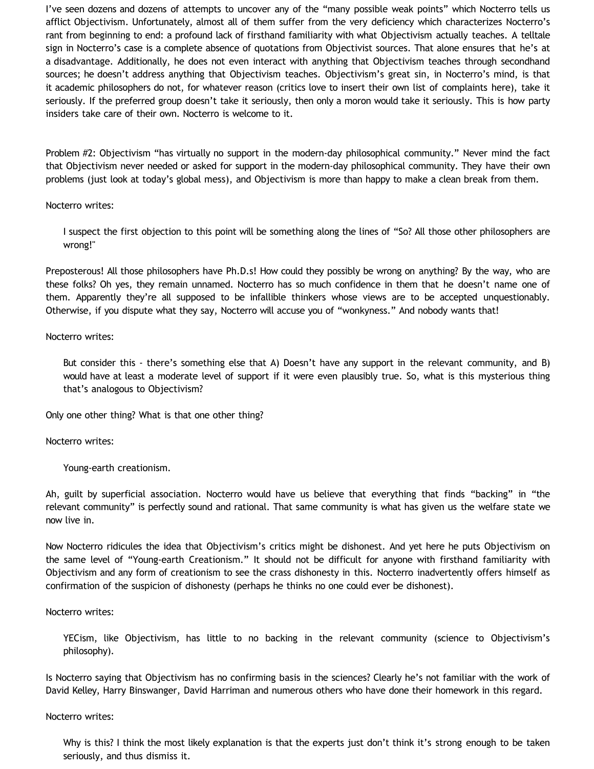I've seen dozens and dozens of attempts to uncover any of the "many possible weak points" which Nocterro tells us afflict Objectivism. Unfortunately, almost all of them suffer from the very deficiency which characterizes Nocterro's rant from beginning to end: a profound lack of firsthand familiarity with what Objectivism actually teaches. A telltale sign in Nocterro's case is a complete absence of quotations from Objectivist sources. That alone ensures that he's at a disadvantage. Additionally, he does not even interact with anything that Objectivism teaches through secondhand sources; he doesn't address anything that Objectivism teaches. Objectivism's great sin, in Nocterro's mind, is that it academic philosophers do not, for whatever reason (critics love to insert their own list of complaints here), take it seriously. If the preferred group doesn't take it seriously, then only a moron would take it seriously. This is how party insiders take care of their own. Nocterro is welcome to it.

Problem #2: Objectivism "has virtually no support in the modern-day philosophical community." Never mind the fact that Objectivism never needed or asked for support in the modern-day philosophical community. They have their own problems (just look at today's global mess), and Objectivism is more than happy to make a clean break from them.

Nocterro writes:

I suspect the first objection to this point will be something along the lines of "So? All those other philosophers are wrong!"

Preposterous! All those philosophers have Ph.D.s! How could they possibly be wrong on anything? By the way, who are these folks? Oh yes, they remain unnamed. Nocterro has so much confidence in them that he doesn't name one of them. Apparently they're all supposed to be infallible thinkers whose views are to be accepted unquestionably. Otherwise, if you dispute what they say, Nocterro will accuse you of "wonkyness." And nobody wants that!

Nocterro writes:

But consider this - there's something else that A) Doesn't have any support in the relevant community, and B) would have at least a moderate level of support if it were even plausibly true. So, what is this mysterious thing that's analogous to Objectivism?

Only one other thing? What is that one other thing?

Nocterro writes:

Young-earth creationism.

Ah, guilt by superficial association. Nocterro would have us believe that everything that finds "backing" in "the relevant community" is perfectly sound and rational. That same community is what has given us the welfare state we now live in.

Now Nocterro ridicules the idea that Objectivism's critics might be dishonest. And yet here he puts Objectivism on the same level of "Young-earth Creationism." It should not be difficult for anyone with firsthand familiarity with Objectivism and any form of creationism to see the crass dishonesty in this. Nocterro inadvertently offers himself as confirmation of the suspicion of dishonesty (perhaps he thinks no one could ever be dishonest).

Nocterro writes:

YECism, like Objectivism, has little to no backing in the relevant community (science to Objectivism's philosophy).

Is Nocterro saying that Objectivism has no confirming basis in the sciences? Clearly he's not familiar with the work of David Kelley, Harry Binswanger, David Harriman and numerous others who have done their homework in this regard.

Nocterro writes:

Why is this? I think the most likely explanation is that the experts just don't think it's strong enough to be taken seriously, and thus dismiss it.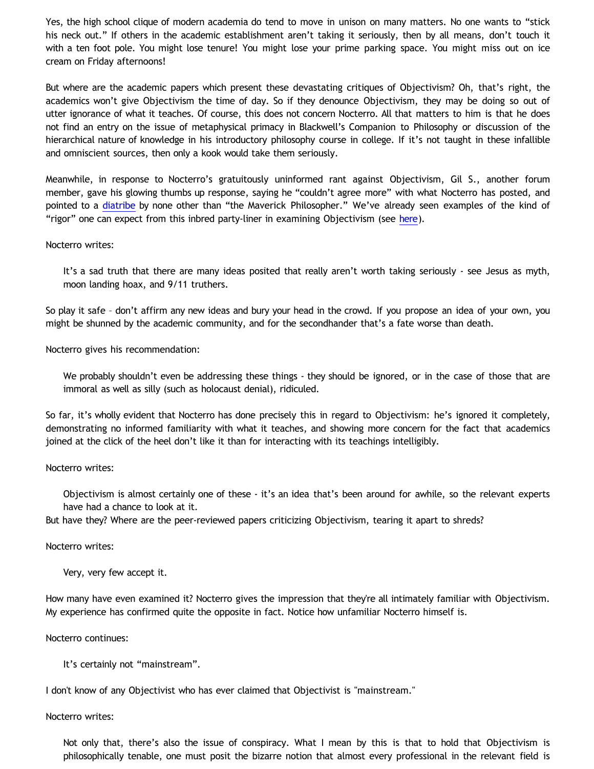Yes, the high school clique of modern academia do tend to move in unison on many matters. No one wants to "stick his neck out." If others in the academic establishment aren't taking it seriously, then by all means, don't touch it with a ten foot pole. You might lose tenure! You might lose your prime parking space. You might miss out on ice cream on Friday afternoons!

But where are the academic papers which present these devastating critiques of Objectivism? Oh, that's right, the academics won't give Objectivism the time of day. So if they denounce Objectivism, they may be doing so out of utter ignorance of what it teaches. Of course, this does not concern Nocterro. All that matters to him is that he does not find an entry on the issue of metaphysical primacy in Blackwell's Companion to Philosophy or discussion of the hierarchical nature of knowledge in his introductory philosophy course in college. If it's not taught in these infallible and omniscient sources, then only a kook would take them seriously.

Meanwhile, in response to Nocterro's gratuitously uninformed rant against Objectivism, Gil S., another forum member, gave his glowing thumbs up response, saying he "couldn't agree more" with what Nocterro has posted, and pointed to a [diatribe](http://maverickphilosopher.typepad.com/maverick_philosopher/2009/01/is-ayn-rand-a-good-philosopher-rand-on-the-primacy-of-existence.html) by none other than "the Maverick Philosopher." We've already seen examples of the kind of "rigor" one can expect from this inbred party-liner in examining Objectivism (see [here](http://katholon.com/Vallicella.htm)).

#### Nocterro writes:

It's a sad truth that there are many ideas posited that really aren't worth taking seriously - see Jesus as myth, moon landing hoax, and 9/11 truthers.

So play it safe – don't affirm any new ideas and bury your head in the crowd. If you propose an idea of your own, you might be shunned by the academic community, and for the secondhander that's a fate worse than death.

Nocterro gives his recommendation:

We probably shouldn't even be addressing these things - they should be ignored, or in the case of those that are immoral as well as silly (such as holocaust denial), ridiculed.

So far, it's wholly evident that Nocterro has done precisely this in regard to Objectivism: he's ignored it completely, demonstrating no informed familiarity with what it teaches, and showing more concern for the fact that academics joined at the click of the heel don't like it than for interacting with its teachings intelligibly.

Nocterro writes:

Objectivism is almost certainly one of these - it's an idea that's been around for awhile, so the relevant experts have had a chance to look at it.

But have they? Where are the peer-reviewed papers criticizing Objectivism, tearing it apart to shreds?

Nocterro writes:

Very, very few accept it.

How many have even examined it? Nocterro gives the impression that they're all intimately familiar with Objectivism. My experience has confirmed quite the opposite in fact. Notice how unfamiliar Nocterro himself is.

Nocterro continues:

It's certainly not "mainstream".

I don't know of any Objectivist who has ever claimed that Objectivist is "mainstream."

Nocterro writes:

Not only that, there's also the issue of conspiracy. What I mean by this is that to hold that Objectivism is philosophically tenable, one must posit the bizarre notion that almost every professional in the relevant field is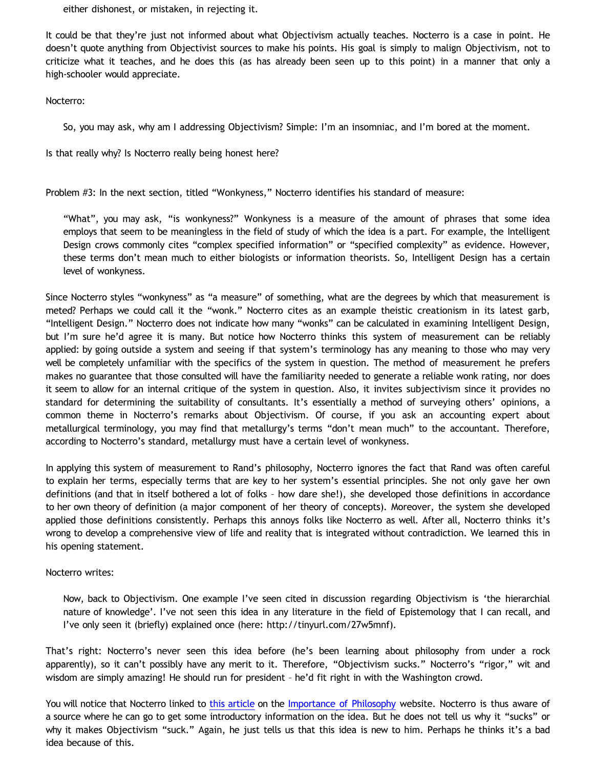either dishonest, or mistaken, in rejecting it.

It could be that they're just not informed about what Objectivism actually teaches. Nocterro is a case in point. He doesn't quote anything from Objectivist sources to make his points. His goal is simply to malign Objectivism, not to criticize what it teaches, and he does this (as has already been seen up to this point) in a manner that only a high-schooler would appreciate.

Nocterro:

So, you may ask, why am I addressing Objectivism? Simple: I'm an insomniac, and I'm bored at the moment.

Is that really why? Is Nocterro really being honest here?

Problem #3: In the next section, titled "Wonkyness," Nocterro identifies his standard of measure:

"What", you may ask, "is wonkyness?" Wonkyness is a measure of the amount of phrases that some idea employs that seem to be meaningless in the field of study of which the idea is a part. For example, the Intelligent Design crows commonly cites "complex specified information" or "specified complexity" as evidence. However, these terms don't mean much to either biologists or information theorists. So, Intelligent Design has a certain level of wonkyness.

Since Nocterro styles "wonkyness" as "a measure" of something, what are the degrees by which that measurement is meted? Perhaps we could call it the "wonk." Nocterro cites as an example theistic creationism in its latest garb, "Intelligent Design." Nocterro does not indicate how many "wonks" can be calculated in examining Intelligent Design, but I'm sure he'd agree it is many. But notice how Nocterro thinks this system of measurement can be reliably applied: by going outside a system and seeing if that system's terminology has any meaning to those who may very well be completely unfamiliar with the specifics of the system in question. The method of measurement he prefers makes no guarantee that those consulted will have the familiarity needed to generate a reliable wonk rating, nor does it seem to allow for an internal critique of the system in question. Also, it invites subjectivism since it provides no standard for determining the suitability of consultants. It's essentially a method of surveying others' opinions, a common theme in Nocterro's remarks about Objectivism. Of course, if you ask an accounting expert about metallurgical terminology, you may find that metallurgy's terms "don't mean much" to the accountant. Therefore, according to Nocterro's standard, metallurgy must have a certain level of wonkyness.

In applying this system of measurement to Rand's philosophy, Nocterro ignores the fact that Rand was often careful to explain her terms, especially terms that are key to her system's essential principles. She not only gave her own definitions (and that in itself bothered a lot of folks – how dare she!), she developed those definitions in accordance to her own theory of definition (a major component of her theory of concepts). Moreover, the system she developed applied those definitions consistently. Perhaps this annoys folks like Nocterro as well. After all, Nocterro thinks it's wrong to develop a comprehensive view of life and reality that is integrated without contradiction. We learned this in his opening statement.

### Nocterro writes:

Now, back to Objectivism. One example I've seen cited in discussion regarding Objectivism is 'the hierarchial nature of knowledge'. I've not seen this idea in any literature in the field of Epistemology that I can recall, and I've only seen it (briefly) explained once (here: [http://tinyurl.com/27w5mnf\).](http://tinyurl.com/27w5mnf).)

That's right: Nocterro's never seen this idea before (he's been learning about philosophy from under a rock apparently), so it can't possibly have any merit to it. Therefore, "Objectivism sucks." Nocterro's "rigor," wit and wisdom are simply amazing! He should run for president – he'd fit right in with the Washington crowd.

You will notice that Nocterro linked to [this article](http://www.importanceofphilosophy.com/Epistemology_HierarchicalKnowledge.html) on the [Importance of Philosophy](http://www.importanceofphilosophy.com/) website. Nocterro is thus aware of a source where he can go to get some introductory information on the idea. But he does not tell us why it "sucks" or why it makes Objectivism "suck." Again, he just tells us that this idea is new to him. Perhaps he thinks it's a bad idea because of this.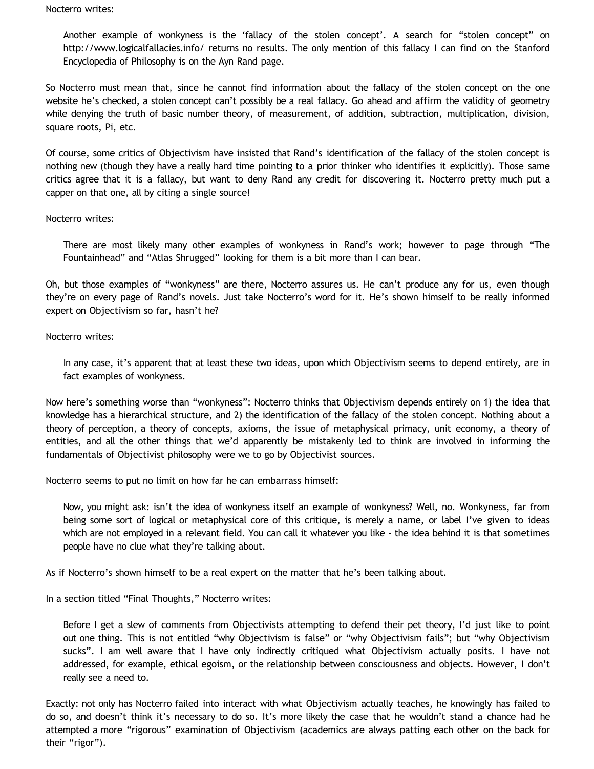#### Nocterro writes:

Another example of wonkyness is the 'fallacy of the stolen concept'. A search for "stolen concept" on <http://www.logicalfallacies.info/> returns no results. The only mention of this fallacy I can find on the Stanford Encyclopedia of Philosophy is on the Ayn Rand page.

So Nocterro must mean that, since he cannot find information about the fallacy of the stolen concept on the one website he's checked, a stolen concept can't possibly be a real fallacy. Go ahead and affirm the validity of geometry while denying the truth of basic number theory, of measurement, of addition, subtraction, multiplication, division, square roots, Pi, etc.

Of course, some critics of Objectivism have insisted that Rand's identification of the fallacy of the stolen concept is nothing new (though they have a really hard time pointing to a prior thinker who identifies it explicitly). Those same critics agree that it is a fallacy, but want to deny Rand any credit for discovering it. Nocterro pretty much put a capper on that one, all by citing a single source!

# Nocterro writes:

There are most likely many other examples of wonkyness in Rand's work; however to page through "The Fountainhead" and "Atlas Shrugged" looking for them is a bit more than I can bear.

Oh, but those examples of "wonkyness" are there, Nocterro assures us. He can't produce any for us, even though they're on every page of Rand's novels. Just take Nocterro's word for it. He's shown himself to be really informed expert on Objectivism so far, hasn't he?

# Nocterro writes:

In any case, it's apparent that at least these two ideas, upon which Objectivism seems to depend entirely, are in fact examples of wonkyness.

Now here's something worse than "wonkyness": Nocterro thinks that Objectivism depends entirely on 1) the idea that knowledge has a hierarchical structure, and 2) the identification of the fallacy of the stolen concept. Nothing about a theory of perception, a theory of concepts, axioms, the issue of metaphysical primacy, unit economy, a theory of entities, and all the other things that we'd apparently be mistakenly led to think are involved in informing the fundamentals of Objectivist philosophy were we to go by Objectivist sources.

Nocterro seems to put no limit on how far he can embarrass himself:

Now, you might ask: isn't the idea of wonkyness itself an example of wonkyness? Well, no. Wonkyness, far from being some sort of logical or metaphysical core of this critique, is merely a name, or label I've given to ideas which are not employed in a relevant field. You can call it whatever you like - the idea behind it is that sometimes people have no clue what they're talking about.

As if Nocterro's shown himself to be a real expert on the matter that he's been talking about.

In a section titled "Final Thoughts," Nocterro writes:

Before I get a slew of comments from Objectivists attempting to defend their pet theory, I'd just like to point out one thing. This is not entitled "why Objectivism is false" or "why Objectivism fails"; but "why Objectivism sucks". I am well aware that I have only indirectly critiqued what Objectivism actually posits. I have not addressed, for example, ethical egoism, or the relationship between consciousness and objects. However, I don't really see a need to.

Exactly: not only has Nocterro failed into interact with what Objectivism actually teaches, he knowingly has failed to do so, and doesn't think it's necessary to do so. It's more likely the case that he wouldn't stand a chance had he attempted a more "rigorous" examination of Objectivism (academics are always patting each other on the back for their "rigor").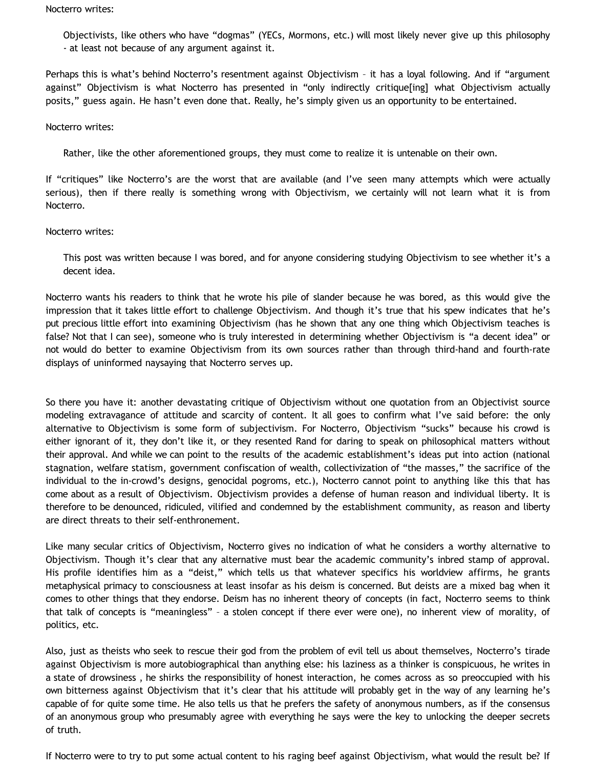#### Nocterro writes:

Objectivists, like others who have "dogmas" (YECs, Mormons, etc.) will most likely never give up this philosophy - at least not because of any argument against it.

Perhaps this is what's behind Nocterro's resentment against Objectivism – it has a loyal following. And if "argument against" Objectivism is what Nocterro has presented in "only indirectly critique[ing] what Objectivism actually posits," guess again. He hasn't even done that. Really, he's simply given us an opportunity to be entertained.

### Nocterro writes:

Rather, like the other aforementioned groups, they must come to realize it is untenable on their own.

If "critiques" like Nocterro's are the worst that are available (and I've seen many attempts which were actually serious), then if there really is something wrong with Objectivism, we certainly will not learn what it is from Nocterro.

# Nocterro writes:

This post was written because I was bored, and for anyone considering studying Objectivism to see whether it's a decent idea.

Nocterro wants his readers to think that he wrote his pile of slander because he was bored, as this would give the impression that it takes little effort to challenge Objectivism. And though it's true that his spew indicates that he's put precious little effort into examining Objectivism (has he shown that any one thing which Objectivism teaches is false? Not that I can see), someone who is truly interested in determining whether Objectivism is "a decent idea" or not would do better to examine Objectivism from its own sources rather than through third-hand and fourth-rate displays of uninformed naysaying that Nocterro serves up.

So there you have it: another devastating critique of Objectivism without one quotation from an Objectivist source modeling extravagance of attitude and scarcity of content. It all goes to confirm what I've said before: the only alternative to Objectivism is some form of subjectivism. For Nocterro, Objectivism "sucks" because his crowd is either ignorant of it, they don't like it, or they resented Rand for daring to speak on philosophical matters without their approval. And while we can point to the results of the academic establishment's ideas put into action (national stagnation, welfare statism, government confiscation of wealth, collectivization of "the masses," the sacrifice of the individual to the in-crowd's designs, genocidal pogroms, etc.), Nocterro cannot point to anything like this that has come about as a result of Objectivism. Objectivism provides a defense of human reason and individual liberty. It is therefore to be denounced, ridiculed, vilified and condemned by the establishment community, as reason and liberty are direct threats to their self-enthronement.

Like many secular critics of Objectivism, Nocterro gives no indication of what he considers a worthy alternative to Objectivism. Though it's clear that any alternative must bear the academic community's inbred stamp of approval. His profile identifies him as a "deist," which tells us that whatever specifics his worldview affirms, he grants metaphysical primacy to consciousness at least insofar as his deism is concerned. But deists are a mixed bag when it comes to other things that they endorse. Deism has no inherent theory of concepts (in fact, Nocterro seems to think that talk of concepts is "meaningless" – a stolen concept if there ever were one), no inherent view of morality, of politics, etc.

Also, just as theists who seek to rescue their god from the problem of evil tell us about themselves, Nocterro's tirade against Objectivism is more autobiographical than anything else: his laziness as a thinker is conspicuous, he writes in a state of drowsiness , he shirks the responsibility of honest interaction, he comes across as so preoccupied with his own bitterness against Objectivism that it's clear that his attitude will probably get in the way of any learning he's capable of for quite some time. He also tells us that he prefers the safety of anonymous numbers, as if the consensus of an anonymous group who presumably agree with everything he says were the key to unlocking the deeper secrets of truth.

If Nocterro were to try to put some actual content to his raging beef against Objectivism, what would the result be? If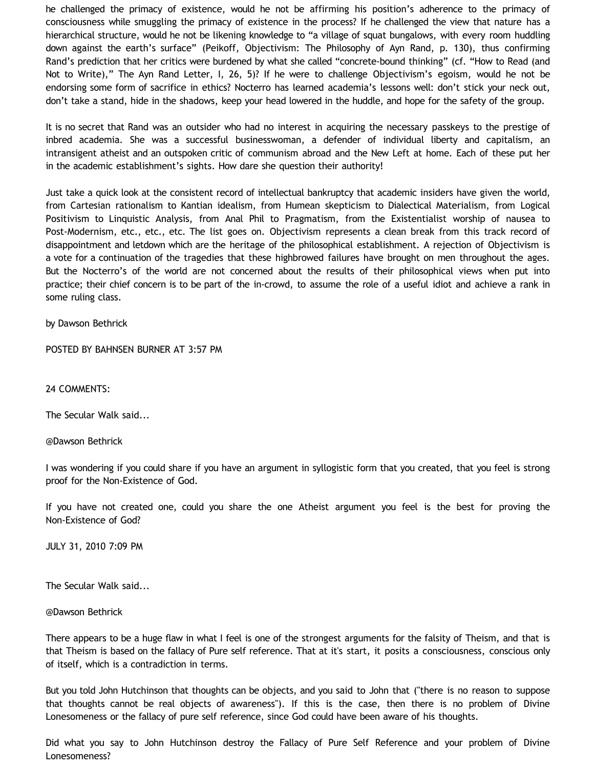he challenged the primacy of existence, would he not be affirming his position's adherence to the primacy of consciousness while smuggling the primacy of existence in the process? If he challenged the view that nature has a hierarchical structure, would he not be likening knowledge to "a village of squat bungalows, with every room huddling down against the earth's surface" (Peikoff, Objectivism: The Philosophy of Ayn Rand, p. 130), thus confirming Rand's prediction that her critics were burdened by what she called "concrete-bound thinking" (cf. "How to Read (and Not to Write)," The Ayn Rand Letter, I, 26, 5)? If he were to challenge Objectivism's egoism, would he not be endorsing some form of sacrifice in ethics? Nocterro has learned academia's lessons well: don't stick your neck out, don't take a stand, hide in the shadows, keep your head lowered in the huddle, and hope for the safety of the group.

It is no secret that Rand was an outsider who had no interest in acquiring the necessary passkeys to the prestige of inbred academia. She was a successful businesswoman, a defender of individual liberty and capitalism, an intransigent atheist and an outspoken critic of communism abroad and the New Left at home. Each of these put her in the academic establishment's sights. How dare she question their authority!

Just take a quick look at the consistent record of intellectual bankruptcy that academic insiders have given the world, from Cartesian rationalism to Kantian idealism, from Humean skepticism to Dialectical Materialism, from Logical Positivism to Linquistic Analysis, from Anal Phil to Pragmatism, from the Existentialist worship of nausea to Post-Modernism, etc., etc., etc. The list goes on. Objectivism represents a clean break from this track record of disappointment and letdown which are the heritage of the philosophical establishment. A rejection of Objectivism is a vote for a continuation of the tragedies that these highbrowed failures have brought on men throughout the ages. But the Nocterro's of the world are not concerned about the results of their philosophical views when put into practice; their chief concern is to be part of the in-crowd, to assume the role of a useful idiot and achieve a rank in some ruling class.

by Dawson Bethrick

POSTED BY BAHNSEN BURNER AT 3:57 PM

24 COMMENTS:

The Secular Walk said...

@Dawson Bethrick

I was wondering if you could share if you have an argument in syllogistic form that you created, that you feel is strong proof for the Non-Existence of God.

If you have not created one, could you share the one Atheist argument you feel is the best for proving the Non-Existence of God?

JULY 31, 2010 7:09 PM

The Secular Walk said...

@Dawson Bethrick

There appears to be a huge flaw in what I feel is one of the strongest arguments for the falsity of Theism, and that is that Theism is based on the fallacy of Pure self reference. That at it's start, it posits a consciousness, conscious only of itself, which is a contradiction in terms.

But you told John Hutchinson that thoughts can be objects, and you said to John that ("there is no reason to suppose that thoughts cannot be real objects of awareness"). If this is the case, then there is no problem of Divine Lonesomeness or the fallacy of pure self reference, since God could have been aware of his thoughts.

Did what you say to John Hutchinson destroy the Fallacy of Pure Self Reference and your problem of Divine Lonesomeness?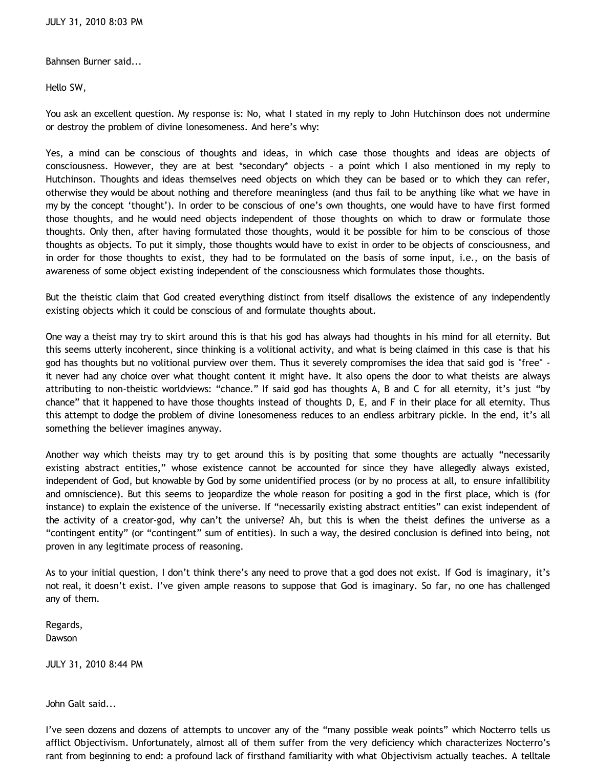Bahnsen Burner said...

Hello SW,

You ask an excellent question. My response is: No, what I stated in my reply to John Hutchinson does not undermine or destroy the problem of divine lonesomeness. And here's why:

Yes, a mind can be conscious of thoughts and ideas, in which case those thoughts and ideas are objects of consciousness. However, they are at best \*secondary\* objects – a point which I also mentioned in my reply to Hutchinson. Thoughts and ideas themselves need objects on which they can be based or to which they can refer, otherwise they would be about nothing and therefore meaningless (and thus fail to be anything like what we have in my by the concept 'thought'). In order to be conscious of one's own thoughts, one would have to have first formed those thoughts, and he would need objects independent of those thoughts on which to draw or formulate those thoughts. Only then, after having formulated those thoughts, would it be possible for him to be conscious of those thoughts as objects. To put it simply, those thoughts would have to exist in order to be objects of consciousness, and in order for those thoughts to exist, they had to be formulated on the basis of some input, i.e., on the basis of awareness of some object existing independent of the consciousness which formulates those thoughts.

But the theistic claim that God created everything distinct from itself disallows the existence of any independently existing objects which it could be conscious of and formulate thoughts about.

One way a theist may try to skirt around this is that his god has always had thoughts in his mind for all eternity. But this seems utterly incoherent, since thinking is a volitional activity, and what is being claimed in this case is that his god has thoughts but no volitional purview over them. Thus it severely compromises the idea that said god is "free" it never had any choice over what thought content it might have. It also opens the door to what theists are always attributing to non-theistic worldviews: "chance." If said god has thoughts A, B and C for all eternity, it's just "by chance" that it happened to have those thoughts instead of thoughts D, E, and F in their place for all eternity. Thus this attempt to dodge the problem of divine lonesomeness reduces to an endless arbitrary pickle. In the end, it's all something the believer imagines anyway.

Another way which theists may try to get around this is by positing that some thoughts are actually "necessarily existing abstract entities," whose existence cannot be accounted for since they have allegedly always existed, independent of God, but knowable by God by some unidentified process (or by no process at all, to ensure infallibility and omniscience). But this seems to jeopardize the whole reason for positing a god in the first place, which is (for instance) to explain the existence of the universe. If "necessarily existing abstract entities" can exist independent of the activity of a creator-god, why can't the universe? Ah, but this is when the theist defines the universe as a "contingent entity" (or "contingent" sum of entities). In such a way, the desired conclusion is defined into being, not proven in any legitimate process of reasoning.

As to your initial question, I don't think there's any need to prove that a god does not exist. If God is imaginary, it's not real, it doesn't exist. I've given ample reasons to suppose that God is imaginary. So far, no one has challenged any of them.

Regards, Dawson

JULY 31, 2010 8:44 PM

John Galt said...

I've seen dozens and dozens of attempts to uncover any of the "many possible weak points" which Nocterro tells us afflict Objectivism. Unfortunately, almost all of them suffer from the very deficiency which characterizes Nocterro's rant from beginning to end: a profound lack of firsthand familiarity with what Objectivism actually teaches. A telltale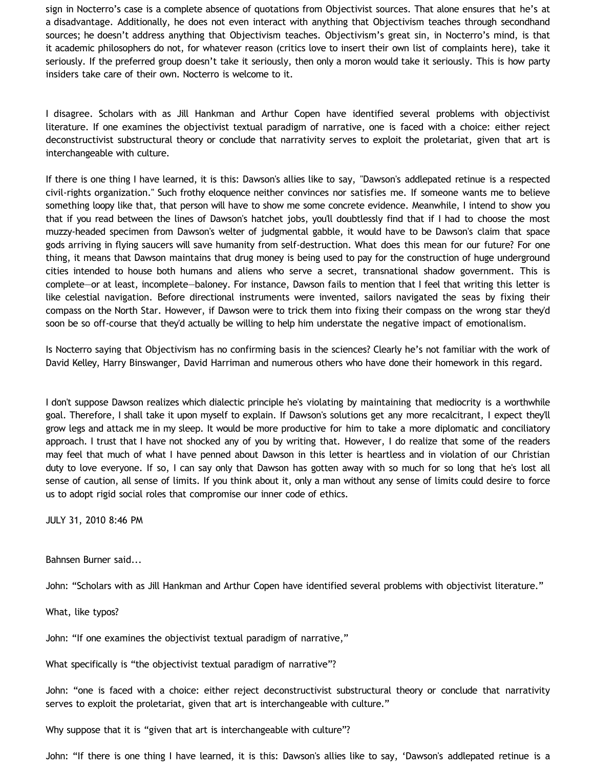sign in Nocterro's case is a complete absence of quotations from Objectivist sources. That alone ensures that he's at a disadvantage. Additionally, he does not even interact with anything that Objectivism teaches through secondhand sources; he doesn't address anything that Objectivism teaches. Objectivism's great sin, in Nocterro's mind, is that it academic philosophers do not, for whatever reason (critics love to insert their own list of complaints here), take it seriously. If the preferred group doesn't take it seriously, then only a moron would take it seriously. This is how party insiders take care of their own. Nocterro is welcome to it.

I disagree. Scholars with as Jill Hankman and Arthur Copen have identified several problems with objectivist literature. If one examines the objectivist textual paradigm of narrative, one is faced with a choice: either reject deconstructivist substructural theory or conclude that narrativity serves to exploit the proletariat, given that art is interchangeable with culture.

If there is one thing I have learned, it is this: Dawson's allies like to say, "Dawson's addlepated retinue is a respected civil-rights organization." Such frothy eloquence neither convinces nor satisfies me. If someone wants me to believe something loopy like that, that person will have to show me some concrete evidence. Meanwhile, I intend to show you that if you read between the lines of Dawson's hatchet jobs, you'll doubtlessly find that if I had to choose the most muzzy-headed specimen from Dawson's welter of judgmental gabble, it would have to be Dawson's claim that space gods arriving in flying saucers will save humanity from self-destruction. What does this mean for our future? For one thing, it means that Dawson maintains that drug money is being used to pay for the construction of huge underground cities intended to house both humans and aliens who serve a secret, transnational shadow government. This is complete—or at least, incomplete—baloney. For instance, Dawson fails to mention that I feel that writing this letter is like celestial navigation. Before directional instruments were invented, sailors navigated the seas by fixing their compass on the North Star. However, if Dawson were to trick them into fixing their compass on the wrong star they'd soon be so off-course that they'd actually be willing to help him understate the negative impact of emotionalism.

Is Nocterro saying that Objectivism has no confirming basis in the sciences? Clearly he's not familiar with the work of David Kelley, Harry Binswanger, David Harriman and numerous others who have done their homework in this regard.

I don't suppose Dawson realizes which dialectic principle he's violating by maintaining that mediocrity is a worthwhile goal. Therefore, I shall take it upon myself to explain. If Dawson's solutions get any more recalcitrant, I expect they'll grow legs and attack me in my sleep. It would be more productive for him to take a more diplomatic and conciliatory approach. I trust that I have not shocked any of you by writing that. However, I do realize that some of the readers may feel that much of what I have penned about Dawson in this letter is heartless and in violation of our Christian duty to love everyone. If so, I can say only that Dawson has gotten away with so much for so long that he's lost all sense of caution, all sense of limits. If you think about it, only a man without any sense of limits could desire to force us to adopt rigid social roles that compromise our inner code of ethics.

JULY 31, 2010 8:46 PM

Bahnsen Burner said...

John: "Scholars with as Jill Hankman and Arthur Copen have identified several problems with objectivist literature."

What, like typos?

John: "If one examines the objectivist textual paradigm of narrative,"

What specifically is "the objectivist textual paradigm of narrative"?

John: "one is faced with a choice: either reject deconstructivist substructural theory or conclude that narrativity serves to exploit the proletariat, given that art is interchangeable with culture."

Why suppose that it is "given that art is interchangeable with culture"?

John: "If there is one thing I have learned, it is this: Dawson's allies like to say, 'Dawson's addlepated retinue is a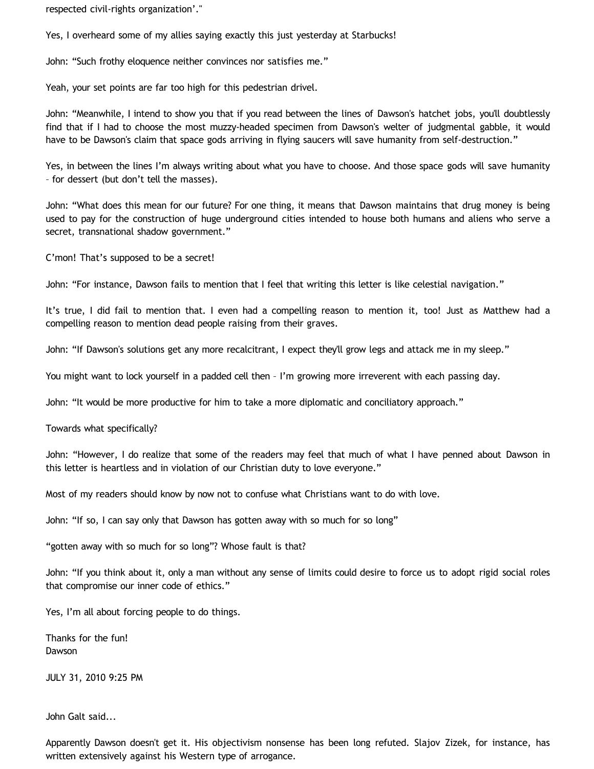respected civil-rights organization'."

Yes, I overheard some of my allies saying exactly this just yesterday at Starbucks!

John: "Such frothy eloquence neither convinces nor satisfies me."

Yeah, your set points are far too high for this pedestrian drivel.

John: "Meanwhile, I intend to show you that if you read between the lines of Dawson's hatchet jobs, you'll doubtlessly find that if I had to choose the most muzzy-headed specimen from Dawson's welter of judgmental gabble, it would have to be Dawson's claim that space gods arriving in flying saucers will save humanity from self-destruction."

Yes, in between the lines I'm always writing about what you have to choose. And those space gods will save humanity – for dessert (but don't tell the masses).

John: "What does this mean for our future? For one thing, it means that Dawson maintains that drug money is being used to pay for the construction of huge underground cities intended to house both humans and aliens who serve a secret, transnational shadow government."

C'mon! That's supposed to be a secret!

John: "For instance, Dawson fails to mention that I feel that writing this letter is like celestial navigation."

It's true, I did fail to mention that. I even had a compelling reason to mention it, too! Just as Matthew had a compelling reason to mention dead people raising from their graves.

John: "If Dawson's solutions get any more recalcitrant, I expect they'll grow legs and attack me in my sleep."

You might want to lock yourself in a padded cell then – I'm growing more irreverent with each passing day.

John: "It would be more productive for him to take a more diplomatic and conciliatory approach."

Towards what specifically?

John: "However, I do realize that some of the readers may feel that much of what I have penned about Dawson in this letter is heartless and in violation of our Christian duty to love everyone."

Most of my readers should know by now not to confuse what Christians want to do with love.

John: "If so, I can say only that Dawson has gotten away with so much for so long"

"gotten away with so much for so long"? Whose fault is that?

John: "If you think about it, only a man without any sense of limits could desire to force us to adopt rigid social roles that compromise our inner code of ethics."

Yes, I'm all about forcing people to do things.

Thanks for the fun! Dawson

JULY 31, 2010 9:25 PM

John Galt said...

Apparently Dawson doesn't get it. His objectivism nonsense has been long refuted. Slajov Zizek, for instance, has written extensively against his Western type of arrogance.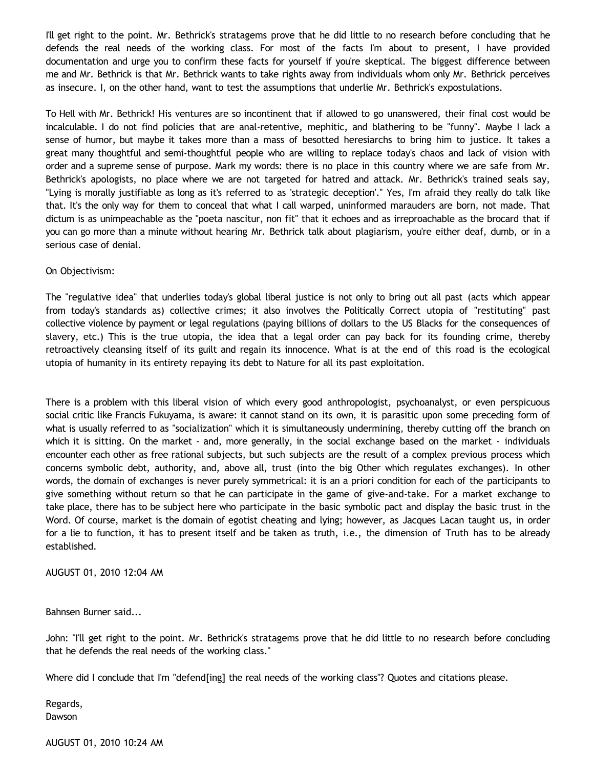I'll get right to the point. Mr. Bethrick's stratagems prove that he did little to no research before concluding that he defends the real needs of the working class. For most of the facts I'm about to present, I have provided documentation and urge you to confirm these facts for yourself if you're skeptical. The biggest difference between me and Mr. Bethrick is that Mr. Bethrick wants to take rights away from individuals whom only Mr. Bethrick perceives as insecure. I, on the other hand, want to test the assumptions that underlie Mr. Bethrick's expostulations.

To Hell with Mr. Bethrick! His ventures are so incontinent that if allowed to go unanswered, their final cost would be incalculable. I do not find policies that are anal-retentive, mephitic, and blathering to be "funny". Maybe I lack a sense of humor, but maybe it takes more than a mass of besotted heresiarchs to bring him to justice. It takes a great many thoughtful and semi-thoughtful people who are willing to replace today's chaos and lack of vision with order and a supreme sense of purpose. Mark my words: there is no place in this country where we are safe from Mr. Bethrick's apologists, no place where we are not targeted for hatred and attack. Mr. Bethrick's trained seals say, "Lying is morally justifiable as long as it's referred to as 'strategic deception'." Yes, I'm afraid they really do talk like that. It's the only way for them to conceal that what I call warped, uninformed marauders are born, not made. That dictum is as unimpeachable as the "poeta nascitur, non fit" that it echoes and as irreproachable as the brocard that if you can go more than a minute without hearing Mr. Bethrick talk about plagiarism, you're either deaf, dumb, or in a serious case of denial.

### On Objectivism:

The "regulative idea" that underlies today's global liberal justice is not only to bring out all past (acts which appear from today's standards as) collective crimes; it also involves the Politically Correct utopia of "restituting" past collective violence by payment or legal regulations (paying billions of dollars to the US Blacks for the consequences of slavery, etc.) This is the true utopia, the idea that a legal order can pay back for its founding crime, thereby retroactively cleansing itself of its guilt and regain its innocence. What is at the end of this road is the ecological utopia of humanity in its entirety repaying its debt to Nature for all its past exploitation.

There is a problem with this liberal vision of which every good anthropologist, psychoanalyst, or even perspicuous social critic like Francis Fukuyama, is aware: it cannot stand on its own, it is parasitic upon some preceding form of what is usually referred to as "socialization" which it is simultaneously undermining, thereby cutting off the branch on which it is sitting. On the market - and, more generally, in the social exchange based on the market - individuals encounter each other as free rational subjects, but such subjects are the result of a complex previous process which concerns symbolic debt, authority, and, above all, trust (into the big Other which regulates exchanges). In other words, the domain of exchanges is never purely symmetrical: it is an a priori condition for each of the participants to give something without return so that he can participate in the game of give-and-take. For a market exchange to take place, there has to be subject here who participate in the basic symbolic pact and display the basic trust in the Word. Of course, market is the domain of egotist cheating and lying; however, as Jacques Lacan taught us, in order for a lie to function, it has to present itself and be taken as truth, i.e., the dimension of Truth has to be already established.

AUGUST 01, 2010 12:04 AM

Bahnsen Burner said...

John: "I'll get right to the point. Mr. Bethrick's stratagems prove that he did little to no research before concluding that he defends the real needs of the working class."

Where did I conclude that I'm "defend[ing] the real needs of the working class"? Quotes and citations please.

Regards, Dawson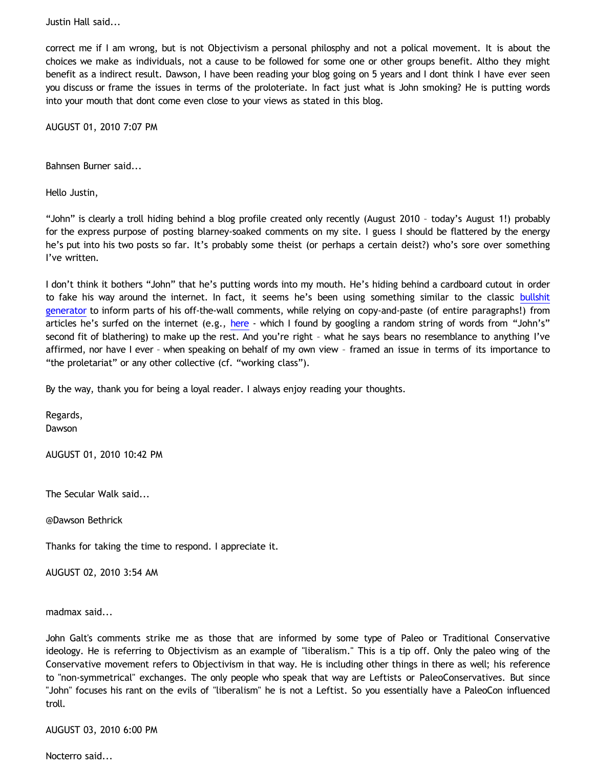Justin Hall said...

correct me if I am wrong, but is not Objectivism a personal philosphy and not a polical movement. It is about the choices we make as individuals, not a cause to be followed for some one or other groups benefit. Altho they might benefit as a indirect result. Dawson, I have been reading your blog going on 5 years and I dont think I have ever seen you discuss or frame the issues in terms of the proloteriate. In fact just what is John smoking? He is putting words into your mouth that dont come even close to your views as stated in this blog.

AUGUST 01, 2010 7:07 PM

Bahnsen Burner said...

Hello Justin,

"John" is clearly a troll hiding behind a blog profile created only recently (August 2010 – today's August 1!) probably for the express purpose of posting blarney-soaked comments on my site. I guess I should be flattered by the energy he's put into his two posts so far. It's probably some theist (or perhaps a certain deist?) who's sore over something I've written.

I don't think it bothers "John" that he's putting words into my mouth. He's hiding behind a cardboard cutout in order to fake his way around the internet. In fact, it seems he's been using something similar to the classic [bullshit](http://www.dack.com/web/bullshit.html) [generator](http://www.dack.com/web/bullshit.html) to inform parts of his off-the-wall comments, while relying on copy-and-paste (of entire paragraphs!) from articles he's surfed on the internet (e.g., [here](http://www.lacan.com/zizliberal2.htm) - which I found by googling a random string of words from "John's" second fit of blathering) to make up the rest. And you're right - what he says bears no resemblance to anything I've affirmed, nor have I ever – when speaking on behalf of my own view – framed an issue in terms of its importance to "the proletariat" or any other collective (cf. "working class").

By the way, thank you for being a loyal reader. I always enjoy reading your thoughts.

Regards, Dawson

AUGUST 01, 2010 10:42 PM

The Secular Walk said...

@Dawson Bethrick

Thanks for taking the time to respond. I appreciate it.

AUGUST 02, 2010 3:54 AM

madmax said...

John Galt's comments strike me as those that are informed by some type of Paleo or Traditional Conservative ideology. He is referring to Objectivism as an example of "liberalism." This is a tip off. Only the paleo wing of the Conservative movement refers to Objectivism in that way. He is including other things in there as well; his reference to "non-symmetrical" exchanges. The only people who speak that way are Leftists or PaleoConservatives. But since "John" focuses his rant on the evils of "liberalism" he is not a Leftist. So you essentially have a PaleoCon influenced troll.

AUGUST 03, 2010 6:00 PM

Nocterro said...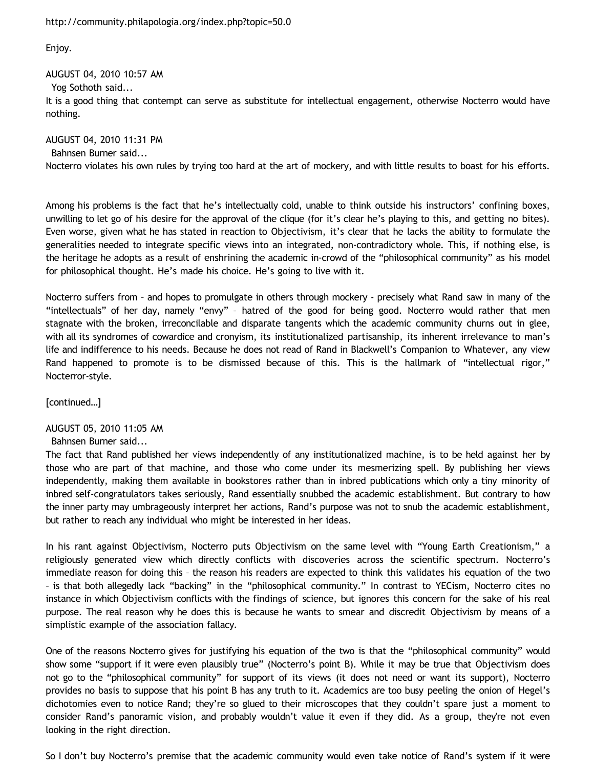<http://community.philapologia.org/index.php?topic=50.0>

Enjoy.

AUGUST 04, 2010 10:57 AM

Yog Sothoth said...

It is a good thing that contempt can serve as substitute for intellectual engagement, otherwise Nocterro would have nothing.

AUGUST 04, 2010 11:31 PM Bahnsen Burner said... Nocterro violates his own rules by trying too hard at the art of mockery, and with little results to boast for his efforts.

Among his problems is the fact that he's intellectually cold, unable to think outside his instructors' confining boxes, unwilling to let go of his desire for the approval of the clique (for it's clear he's playing to this, and getting no bites). Even worse, given what he has stated in reaction to Objectivism, it's clear that he lacks the ability to formulate the generalities needed to integrate specific views into an integrated, non-contradictory whole. This, if nothing else, is the heritage he adopts as a result of enshrining the academic in-crowd of the "philosophical community" as his model for philosophical thought. He's made his choice. He's going to live with it.

Nocterro suffers from – and hopes to promulgate in others through mockery - precisely what Rand saw in many of the "intellectuals" of her day, namely "envy" – hatred of the good for being good. Nocterro would rather that men stagnate with the broken, irreconcilable and disparate tangents which the academic community churns out in glee, with all its syndromes of cowardice and cronyism, its institutionalized partisanship, its inherent irrelevance to man's life and indifference to his needs. Because he does not read of Rand in Blackwell's Companion to Whatever, any view Rand happened to promote is to be dismissed because of this. This is the hallmark of "intellectual rigor," Nocterror-style.

[continued…]

AUGUST 05, 2010 11:05 AM

Bahnsen Burner said...

The fact that Rand published her views independently of any institutionalized machine, is to be held against her by those who are part of that machine, and those who come under its mesmerizing spell. By publishing her views independently, making them available in bookstores rather than in inbred publications which only a tiny minority of inbred self-congratulators takes seriously, Rand essentially snubbed the academic establishment. But contrary to how the inner party may umbrageously interpret her actions, Rand's purpose was not to snub the academic establishment, but rather to reach any individual who might be interested in her ideas.

In his rant against Objectivism, Nocterro puts Objectivism on the same level with "Young Earth Creationism," a religiously generated view which directly conflicts with discoveries across the scientific spectrum. Nocterro's immediate reason for doing this – the reason his readers are expected to think this validates his equation of the two – is that both allegedly lack "backing" in the "philosophical community." In contrast to YECism, Nocterro cites no instance in which Objectivism conflicts with the findings of science, but ignores this concern for the sake of his real purpose. The real reason why he does this is because he wants to smear and discredit Objectivism by means of a simplistic example of the association fallacy.

One of the reasons Nocterro gives for justifying his equation of the two is that the "philosophical community" would show some "support if it were even plausibly true" (Nocterro's point B). While it may be true that Objectivism does not go to the "philosophical community" for support of its views (it does not need or want its support), Nocterro provides no basis to suppose that his point B has any truth to it. Academics are too busy peeling the onion of Hegel's dichotomies even to notice Rand; they're so glued to their microscopes that they couldn't spare just a moment to consider Rand's panoramic vision, and probably wouldn't value it even if they did. As a group, they're not even looking in the right direction.

So I don't buy Nocterro's premise that the academic community would even take notice of Rand's system if it were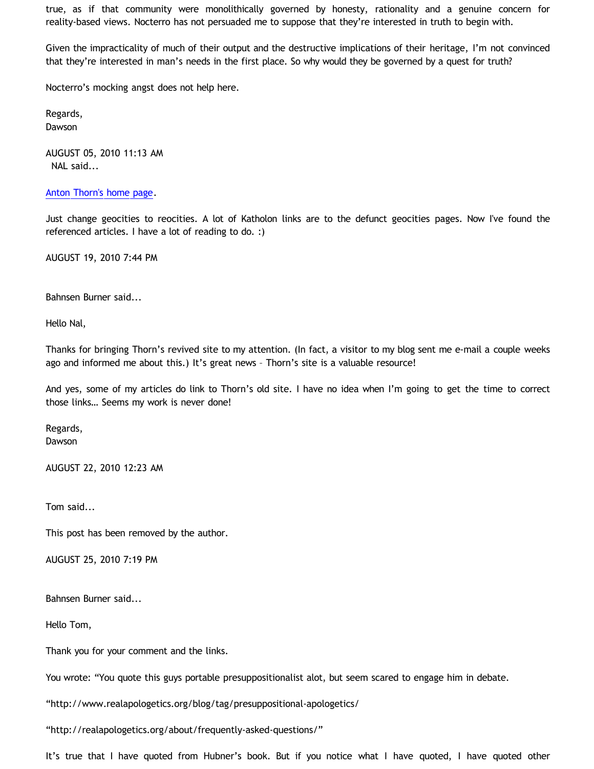true, as if that community were monolithically governed by honesty, rationality and a genuine concern for reality-based views. Nocterro has not persuaded me to suppose that they're interested in truth to begin with.

Given the impracticality of much of their output and the destructive implications of their heritage, I'm not convinced that they're interested in man's needs in the first place. So why would they be governed by a quest for truth?

Nocterro's mocking angst does not help here.

Regards, Dawson

AUGUST 05, 2010 11:13 AM NAL said...

### [Anton Thorn's home page](http://www.reocities.com/Athens/Sparta/1019/Thorn2.html).

Just change geocities to reocities. A lot of Katholon links are to the defunct geocities pages. Now I've found the referenced articles. I have a lot of reading to do. :)

AUGUST 19, 2010 7:44 PM

Bahnsen Burner said...

Hello Nal,

Thanks for bringing Thorn's revived site to my attention. (In fact, a visitor to my blog sent me e-mail a couple weeks ago and informed me about this.) It's great news – Thorn's site is a valuable resource!

And yes, some of my articles do link to Thorn's old site. I have no idea when I'm going to get the time to correct those links… Seems my work is never done!

Regards, Dawson

AUGUST 22, 2010 12:23 AM

Tom said...

This post has been removed by the author.

AUGUST 25, 2010 7:19 PM

Bahnsen Burner said...

Hello Tom,

Thank you for your comment and the links.

You wrote: "You quote this guys portable presuppositionalist alot, but seem scared to engage him in debate.

"http://www.realapologetics.org/blog/tag/presuppositional-apologetics/

"http://realapologetics.org/about/frequently-asked-questions/"

It's true that I have quoted from Hubner's book. But if you notice what I have quoted, I have quoted other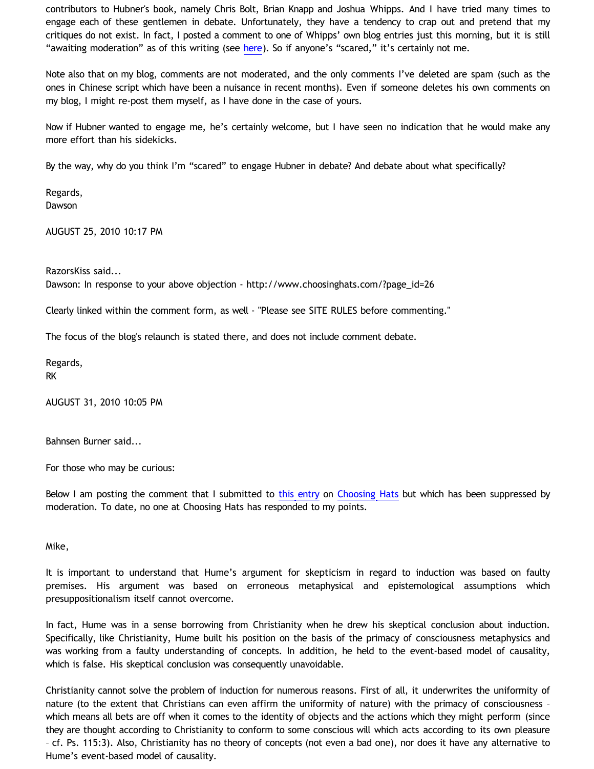contributors to Hubner's book, namely Chris Bolt, Brian Knapp and Joshua Whipps. And I have tried many times to engage each of these gentlemen in debate. Unfortunately, they have a tendency to crap out and pretend that my critiques do not exist. In fact, I posted a comment to one of Whipps' own blog entries just this morning, but it is still "awaiting moderation" as of this writing (see [here\)](http://www.choosinghats.com/?p=1447). So if anyone's "scared," it's certainly not me.

Note also that on my blog, comments are not moderated, and the only comments I've deleted are spam (such as the ones in Chinese script which have been a nuisance in recent months). Even if someone deletes his own comments on my blog, I might re-post them myself, as I have done in the case of yours.

Now if Hubner wanted to engage me, he's certainly welcome, but I have seen no indication that he would make any more effort than his sidekicks.

By the way, why do you think I'm "scared" to engage Hubner in debate? And debate about what specifically?

Regards, Dawson

AUGUST 25, 2010 10:17 PM

RazorsKiss said... Dawson: In response to your above objection - [http://www.choosinghats.com/?page\\_id=26](http://www.choosinghats.com/?page_id=26)

Clearly linked within the comment form, as well - "Please see SITE RULES before commenting."

The focus of the blog's relaunch is stated there, and does not include comment debate.

Regards, RK

AUGUST 31, 2010 10:05 PM

Bahnsen Burner said...

For those who may be curious:

Below I am posting the comment that I submitted to [this entry](http://www.choosinghats.com/?p=1447) on [Choosing Hats](http://www.choosinghats.com/) but which has been suppressed by moderation. To date, no one at Choosing Hats has responded to my points.

Mike,

It is important to understand that Hume's argument for skepticism in regard to induction was based on faulty premises. His argument was based on erroneous metaphysical and epistemological assumptions which presuppositionalism itself cannot overcome.

In fact, Hume was in a sense borrowing from Christianity when he drew his skeptical conclusion about induction. Specifically, like Christianity, Hume built his position on the basis of the primacy of consciousness metaphysics and was working from a faulty understanding of concepts. In addition, he held to the event-based model of causality, which is false. His skeptical conclusion was consequently unavoidable.

Christianity cannot solve the problem of induction for numerous reasons. First of all, it underwrites the uniformity of nature (to the extent that Christians can even affirm the uniformity of nature) with the primacy of consciousness – which means all bets are off when it comes to the identity of objects and the actions which they might perform (since they are thought according to Christianity to conform to some conscious will which acts according to its own pleasure – cf. Ps. 115:3). Also, Christianity has no theory of concepts (not even a bad one), nor does it have any alternative to Hume's event-based model of causality.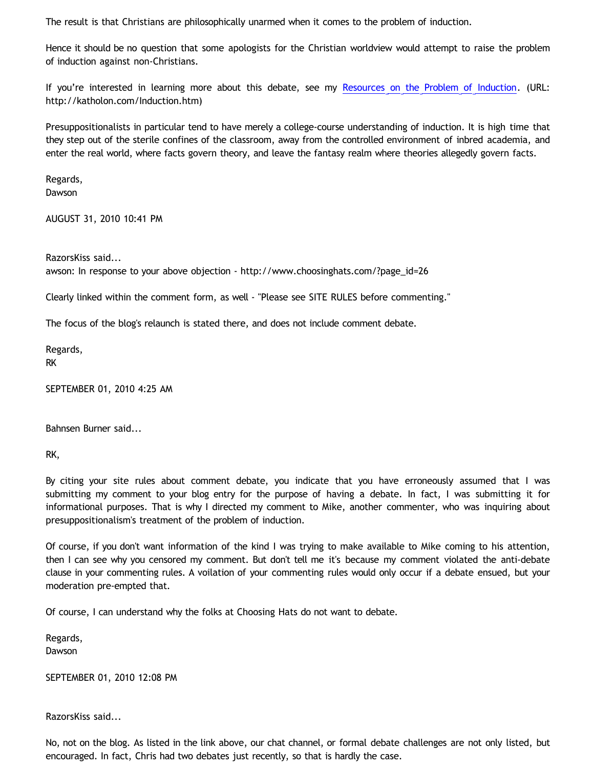The result is that Christians are philosophically unarmed when it comes to the problem of induction.

Hence it should be no question that some apologists for the Christian worldview would attempt to raise the problem of induction against non-Christians.

If you're interested in learning more about this debate, see my [Resources on the Problem of Induction](http://katholon.com/Induction.htm). (URL: [http://katholon.com/Induction.htm\)](http://katholon.com/Induction.htm))

Presuppositionalists in particular tend to have merely a college-course understanding of induction. It is high time that they step out of the sterile confines of the classroom, away from the controlled environment of inbred academia, and enter the real world, where facts govern theory, and leave the fantasy realm where theories allegedly govern facts.

Regards, Dawson

AUGUST 31, 2010 10:41 PM

RazorsKiss said... awson: In response to your above objection - [http://www.choosinghats.com/?page\\_id=26](http://www.choosinghats.com/?page_id=26)

Clearly linked within the comment form, as well - "Please see SITE RULES before commenting."

The focus of the blog's relaunch is stated there, and does not include comment debate.

Regards, RK

SEPTEMBER 01, 2010 4:25 AM

Bahnsen Burner said...

RK,

By citing your site rules about comment debate, you indicate that you have erroneously assumed that I was submitting my comment to your blog entry for the purpose of having a debate. In fact, I was submitting it for informational purposes. That is why I directed my comment to Mike, another commenter, who was inquiring about presuppositionalism's treatment of the problem of induction.

Of course, if you don't want information of the kind I was trying to make available to Mike coming to his attention, then I can see why you censored my comment. But don't tell me it's because my comment violated the anti-debate clause in your commenting rules. A voilation of your commenting rules would only occur if a debate ensued, but your moderation pre-empted that.

Of course, I can understand why the folks at Choosing Hats do not want to debate.

Regards,

Dawson

SEPTEMBER 01, 2010 12:08 PM

RazorsKiss said...

No, not on the blog. As listed in the link above, our chat channel, or formal debate challenges are not only listed, but encouraged. In fact, Chris had two debates just recently, so that is hardly the case.